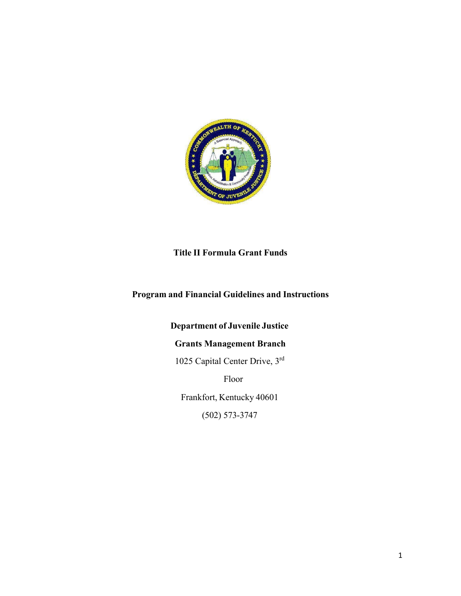

**Title II Formula Grant Funds**

# **Program and Financial Guidelines and Instructions**

# **Department of Juvenile Justice**

# **Grants Management Branch**

1025 Capital Center Drive, 3rd

Floor

Frankfort, Kentucky 40601

(502) 573-3747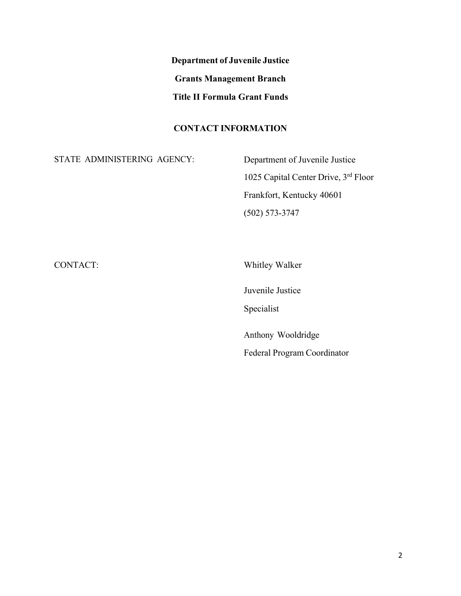**Department of Juvenile Justice Grants Management Branch Title II Formula Grant Funds**

## **CONTACT INFORMATION**

STATE ADMINISTERING AGENCY:

Department of Juvenile Justice 1025 Capital Center Drive, 3rd Floor Frankfort, Kentucky 40601 (502) 573-3747

CONTACT:

Whitley Walker

Juvenile Justice

Specialist

Anthony Wooldridge Federal Program Coordinator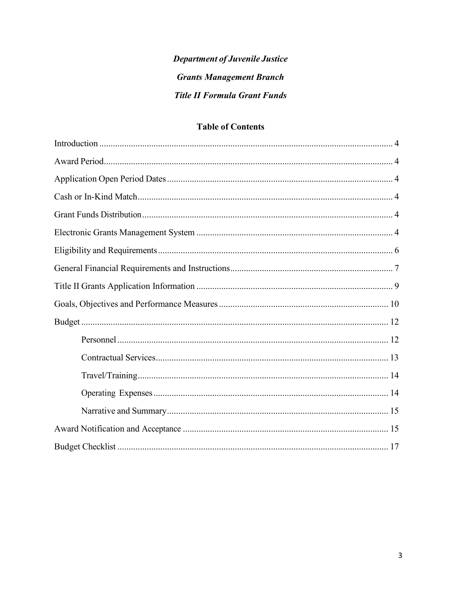# **Department of Juvenile Justice Grants Management Branch Title II Formula Grant Funds**

# **Table of Contents**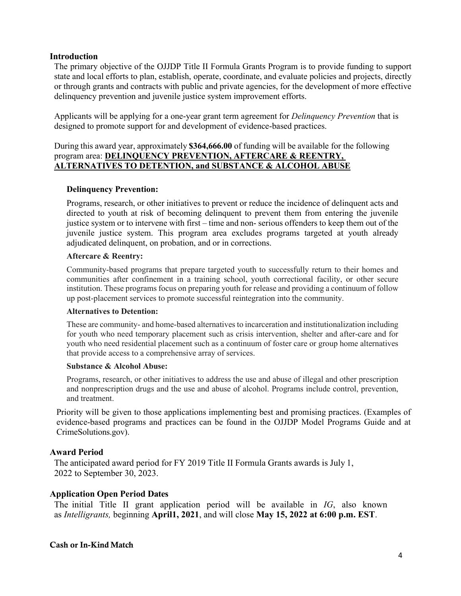#### <span id="page-3-0"></span>**Introduction**

The primary objective of the OJJDP Title II Formula Grants Program is to provide funding to support state and local efforts to plan, establish, operate, coordinate, and evaluate policies and projects, directly or through grants and contracts with public and private agencies, for the development of more effective delinquency prevention and juvenile justice system improvement efforts.

Applicants will be applying for a one-year grant term agreement for *Delinquency Prevention* that is designed to promote support for and development of evidence-based practices.

#### During this award year, approximately **\$364,666.00** of funding will be available for the following program area: **DELINQUENCY PREVENTION, AFTERCARE & REENTRY, ALTERNATIVES TO DETENTION, and SUBSTANCE & ALCOHOL ABUSE**

#### **Delinquency Prevention:**

Programs, research, or other initiatives to prevent or reduce the incidence of delinquent acts and directed to youth at risk of becoming delinquent to prevent them from entering the juvenile justice system or to intervene with first – time and non- serious offenders to keep them out of the juvenile justice system. This program area excludes programs targeted at youth already adjudicated delinquent, on probation, and or in corrections.

#### **Aftercare & Reentry:**

Community-based programs that prepare targeted youth to successfully return to their homes and communities after confinement in a training school, youth correctional facility, or other secure institution. These programs focus on preparing youth for release and providing a continuum of follow up post-placement services to promote successful reintegration into the community.

#### **Alternatives to Detention:**

These are community- and home-based alternatives to incarceration and institutionalization including for youth who need temporary placement such as crisis intervention, shelter and after-care and for youth who need residential placement such as a continuum of foster care or group home alternatives that provide access to a comprehensive array of services.

#### **Substance & Alcohol Abuse:**

Programs, research, or other initiatives to address the use and abuse of illegal and other prescription and nonprescription drugs and the use and abuse of alcohol. Programs include control, prevention, and treatment.

Priority will be given to those applications implementing best and promising practices. (Examples of evidence-based programs and practices can be found in the OJJDP Model Programs Guide and at CrimeSolutions.gov).

#### <span id="page-3-1"></span>**Award Period**

The anticipated award period for FY 2019 Title II Formula Grants awards is July 1, 2022 to September 30, 2023.

#### <span id="page-3-2"></span>**Application Open Period Dates**

The initial Title II grant application period will be available in *IG*, also known as *Intelligrants,* beginning **April1, 2021**, and will close **May 15, 2022 at 6:00 p.m. EST**.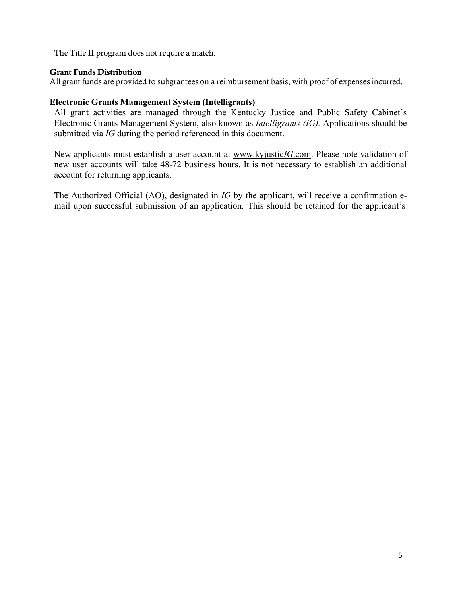The Title II program does not require a match.

#### <span id="page-4-0"></span>Grant Funds Distribution

All grant funds are provided to subgrantees on a reimbursement basis, with proof of expenses incurred.

## **Electronic Grants Management System (Intelligrants)**

All grant activities are managed through the Kentucky Justice and Public Safety Cabinet's Electronic Grants Management System, also known as *Intelligrants (IG).* Applications should be submitted via *IG* during the period referenced in this document.

New applicants must establish a user account at [www.kyjustic](http://www.kyjusticegms.com/)*IG*.com. Please note validation of new user accounts will take 48-72 business hours. It is not necessary to establish an additional account for returning applicants.

The Authorized Official (AO), designated in *IG* by the applicant, will receive a confirmation email upon successful submission of an application. This should be retained for the applicant's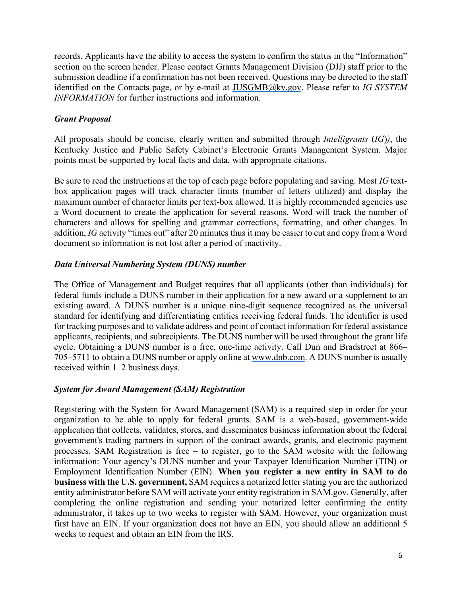records. Applicants have the ability to access the system to confirm the status in the "Information" section on the screen header. Please contact Grants Management Division (DJJ) staff prior to the submission deadline if a confirmation has not been received. Questions may be directed to the staff identified on the Contacts page, or by e-mail at [JUSGMB@ky.gov. P](mailto:JUSGMB@ky.gov)lease refer to *IG SYSTEM INFORMATION* for further instructions and information.

## *Grant Proposal*

All proposals should be concise, clearly written and submitted through *Intelligrants* (*IG*)*)*, the Kentucky Justice and Public Safety Cabinet's Electronic Grants Management System. Major points must be supported by local facts and data, with appropriate citations.

Be sure to read the instructions at the top of each page before populating and saving. Most *IG* textbox application pages will track character limits (number of letters utilized) and display the maximum number of character limits per text-box allowed. It is highly recommended agencies use a Word document to create the application for several reasons. Word will track the number of characters and allows for spelling and grammar corrections, formatting, and other changes. In addition, *IG* activity "times out" after 20 minutes thus it may be easier to cut and copy from a Word document so information is not lost after a period of inactivity.

## *Data Universal Numbering System (DUNS) number*

The Office of Management and Budget requires that all applicants (other than individuals) for federal funds include a DUNS number in their application for a new award or a supplement to an existing award. A DUNS number is a unique nine-digit sequence recognized as the universal standard for identifying and differentiating entities receiving federal funds. The identifier is used for tracking purposes and to validate address and point of contact information for federal assistance applicants, recipients, and subrecipients. The DUNS number will be used throughout the grant life cycle. Obtaining a DUNS number is a free, one-time activity. Call Dun and Bradstreet at 866– 705–5711 to obtain a DUNS number or apply online at [www.dnb.com.](http://www.dnb.com/) A DUNS number is usually received within 1–2 business days.

## *System for Award Management (SAM) Registration*

Registering with the System for Award Management (SAM) is a required step in order for your organization to be able to apply for federal grants. SAM is a web-based, government-wide application that collects, validates, stores, and disseminates business information about the federal government's trading partners in support of the contract awards, grants, and electronic payment processes. SAM Registration is free – to register, go to the [SAM website](https://sam.gov/SAM/) with the following information: Your agency's DUNS number and your Taxpayer Identification Number (TIN) or Employment Identification Number (EIN). **When you register a new entity in SAM to do business with the U.S. government,** SAM requires a notarized letter stating you are the authorized entity administrator before SAM will activate your entity registration in SAM.gov. Generally, after completing the online registration and sending your notarized letter confirming the entity administrator, it takes up to two weeks to register with SAM. However, your organization must first have an EIN. If your organization does not have an EIN, you should allow an additional 5 weeks to request and obtain an EIN from the IRS.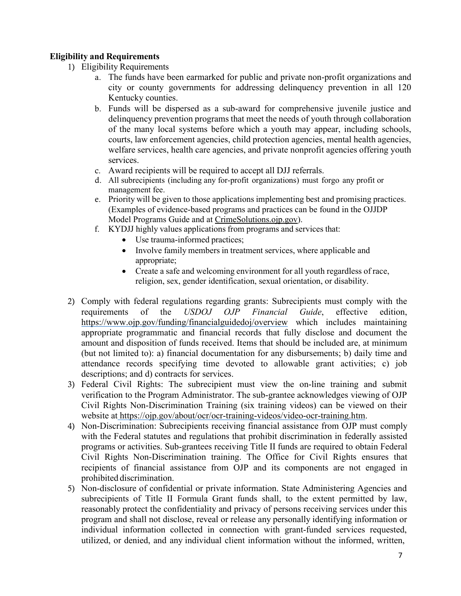## <span id="page-6-0"></span>**Eligibility and Requirements**

- 1) Eligibility Requirements
	- a. The funds have been earmarked for public and private non-profit organizations and city or county governments for addressing delinquency prevention in all 120 Kentucky counties.
	- b. Funds will be dispersed as a sub-award for comprehensive juvenile justice and delinquency prevention programs that meet the needs of youth through collaboration of the many local systems before which a youth may appear, including schools, courts, law enforcement agencies, child protection agencies, mental health agencies, welfare services, health care agencies, and private nonprofit agencies offering youth services.
	- c. Award recipients will be required to accept all DJJ referrals.
	- d. All subrecipients (including any for-profit organizations) must forgo any profit or management fee.
	- e. Priority will be given to those applications implementing best and promising practices. (Examples of evidence-based programs and practices can be found in the OJJDP Model Programs Guide and at [CrimeSolutions.ojp.gov\)](https://crimesolutions.ojp.gov/).
	- f. KYDJJ highly values applications from programs and services that:
		- Use trauma-informed practices;
		- Involve family members in treatment services, where applicable and appropriate;
		- Create a safe and welcoming environment for all youth regardless of race, religion, sex, gender identification, sexual orientation, or disability.
- 2) Comply with federal regulations regarding grants: Subrecipients must comply with the requirements of the *USDOJ OJP Financial Guide*, effective edition, <https://www.ojp.gov/funding/financialguidedoj/overview> which includes maintaining appropriate programmatic and financial records that fully disclose and document the amount and disposition of funds received. Items that should be included are, at minimum (but not limited to): a) financial documentation for any disbursements; b) daily time and attendance records specifying time devoted to allowable grant activities; c) job descriptions; and d) contracts for services.
- 3) Federal Civil Rights: The subrecipient must view the on-line training and submit verification to the Program Administrator. The sub-grantee acknowledges viewing of OJP Civil Rights Non-Discrimination Training (six training videos) can be viewed on their website at [https://ojp.gov/about/ocr/ocr-training-videos/video-ocr-training.htm.](https://ojp.gov/about/ocr/ocr-training-videos/video-ocr-training.htm)
- 4) Non-Discrimination: Subrecipients receiving financial assistance from OJP must comply with the Federal statutes and regulations that prohibit discrimination in federally assisted programs or activities. Sub-grantees receiving Title II funds are required to obtain Federal Civil Rights Non-Discrimination training. The Office for Civil Rights ensures that recipients of financial assistance from OJP and its components are not engaged in prohibited discrimination.
- 5) Non-disclosure of confidential or private information. State Administering Agencies and subrecipients of Title II Formula Grant funds shall, to the extent permitted by law, reasonably protect the confidentiality and privacy of persons receiving services under this program and shall not disclose, reveal or release any personally identifying information or individual information collected in connection with grant-funded services requested, utilized, or denied, and any individual client information without the informed, written,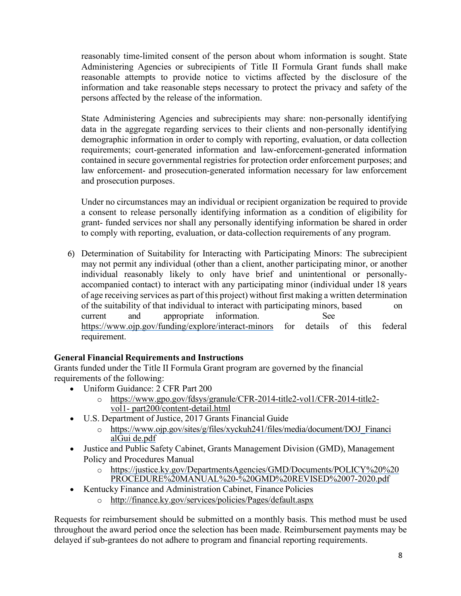reasonably time-limited consent of the person about whom information is sought. State Administering Agencies or subrecipients of Title II Formula Grant funds shall make reasonable attempts to provide notice to victims affected by the disclosure of the information and take reasonable steps necessary to protect the privacy and safety of the persons affected by the release of the information.

State Administering Agencies and subrecipients may share: non-personally identifying data in the aggregate regarding services to their clients and non-personally identifying demographic information in order to comply with reporting, evaluation, or data collection requirements; court-generated information and law-enforcement-generated information contained in secure governmental registries for protection order enforcement purposes; and law enforcement- and prosecution-generated information necessary for law enforcement and prosecution purposes.

Under no circumstances may an individual or recipient organization be required to provide a consent to release personally identifying information as a condition of eligibility for grant- funded services nor shall any personally identifying information be shared in order to comply with reporting, evaluation, or data-collection requirements of any program.

6) Determination of Suitability for Interacting with Participating Minors: The subrecipient may not permit any individual (other than a client, another participating minor, or another individual reasonably likely to only have brief and unintentional or personallyaccompanied contact) to interact with any participating minor (individual under 18 years of age receiving services as part of this project) without first making a written determination of the suitability of that individual to interact with participating minors, based on current and appropriate information. See <https://www.ojp.gov/funding/explore/interact-minors> for details of this federal requirement.

# <span id="page-7-0"></span>**General Financial Requirements and Instructions**

Grants funded under the Title II Formula Grant program are governed by the financial requirements of the following:

- Uniform Guidance: 2 CFR Part 200
	- o [https://www.gpo.gov/fdsys/granule/CFR-2014-title2-vol1/CFR-2014-title2](https://www.gpo.gov/fdsys/granule/CFR-2014-title2-vol1/CFR-2014-title2-vol1-part200/content-detail.html) [vol1-](https://www.gpo.gov/fdsys/granule/CFR-2014-title2-vol1/CFR-2014-title2-vol1-part200/content-detail.html) [part200/content-detail.html](https://www.gpo.gov/fdsys/granule/CFR-2014-title2-vol1/CFR-2014-title2-vol1-part200/content-detail.html)
- U.S. Department of Justice, 2017 Grants Financial Guide
	- o [https://www.ojp.gov/sites/g/files/xyckuh241/files/media/document/DOJ\\_Financi](https://www.ojp.gov/sites/g/files/xyckuh241/files/media/document/DOJ_FinancialGuide.pdf) [alGui de.pdf](https://www.ojp.gov/sites/g/files/xyckuh241/files/media/document/DOJ_FinancialGuide.pdf)
- Justice and Public Safety Cabinet, Grants Management Division (GMD), Management Policy and Procedures Manual
	- o https://justice.ky.gov/DepartmentsAgencies/GMD/Documents/POLICY%20%20 PROCEDURE%20MANUAL%20-%20GMD%20REVISED%2007-2020.pdf
- Kentucky Finance and Administration Cabinet, Finance Policies
	- o <http://finance.ky.gov/services/policies/Pages/default.aspx>

Requests for reimbursement should be submitted on a monthly basis. This method must be used throughout the award period once the selection has been made. Reimbursement payments may be delayed if sub-grantees do not adhere to program and financial reporting requirements.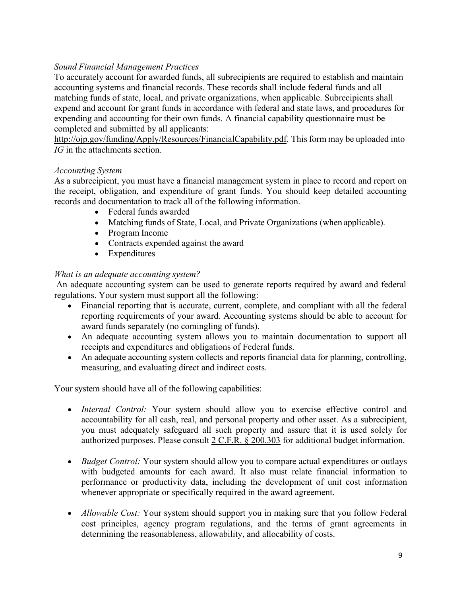# *Sound Financial Management Practices*

To accurately account for awarded funds, all subrecipients are required to establish and maintain accounting systems and financial records. These records shall include federal funds and all matching funds of state, local, and private organizations, when applicable. Subrecipients shall expend and account for grant funds in accordance with federal and state laws, and procedures for expending and accounting for their own funds. A financial capability questionnaire must be completed and submitted by all applicants:

[http://ojp.gov/funding/Apply/Resources/FinancialCapability.pdf.](http://ojp.gov/funding/Apply/Resources/FinancialCapability.pdf) This form may be uploaded into *IG* in the attachments section.

#### *Accounting System*

As a subrecipient, you must have a financial management system in place to record and report on the receipt, obligation, and expenditure of grant funds. You should keep detailed accounting records and documentation to track all of the following information.

- Federal funds awarded
- Matching funds of State, Local, and Private Organizations (when applicable).
- Program Income
- Contracts expended against the award
- Expenditures

## *What is an adequate accounting system?*

An adequate accounting system can be used to generate reports required by award and federal regulations. Your system must support all the following:

- Financial reporting that is accurate, current, complete, and compliant with all the federal reporting requirements of your award. Accounting systems should be able to account for award funds separately (no comingling of funds).
- An adequate accounting system allows you to maintain documentation to support all receipts and expenditures and obligations of Federal funds.
- An adequate accounting system collects and reports financial data for planning, controlling, measuring, and evaluating direct and indirect costs.

Your system should have all of the following capabilities:

- *Internal Control:* Your system should allow you to exercise effective control and accountability for all cash, real, and personal property and other asset. As a subrecipient, you must adequately safeguard all such property and assure that it is used solely for authorized purposes. Please consult 2 C.F.R. § 200.303 for additional budget information.
- *Budget Control:* Your system should allow you to compare actual expenditures or outlays with budgeted amounts for each award. It also must relate financial information to performance or productivity data, including the development of unit cost information whenever appropriate or specifically required in the award agreement.
- *Allowable Cost:* Your system should support you in making sure that you follow Federal cost principles, agency program regulations, and the terms of grant agreements in determining the reasonableness, allowability, and allocability of costs.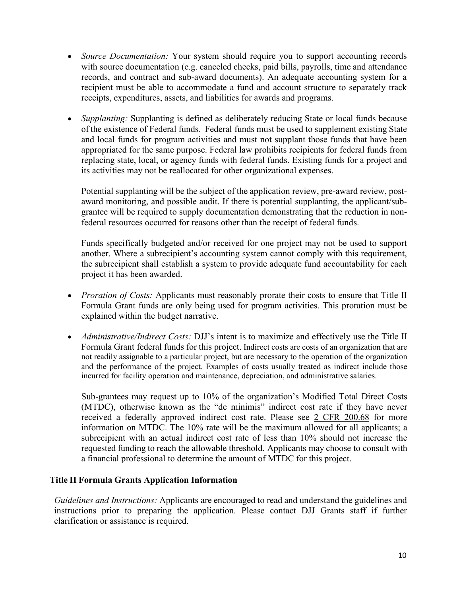- *Source Documentation:* Your system should require you to support accounting records with source documentation (e.g. canceled checks, paid bills, payrolls, time and attendance records, and contract and sub-award documents). An adequate accounting system for a recipient must be able to accommodate a fund and account structure to separately track receipts, expenditures, assets, and liabilities for awards and programs.
- *Supplanting:* Supplanting is defined as deliberately reducing State or local funds because of the existence of Federal funds. Federal funds must be used to supplement existing State and local funds for program activities and must not supplant those funds that have been appropriated for the same purpose. Federal law prohibits recipients for federal funds from replacing state, local, or agency funds with federal funds. Existing funds for a project and its activities may not be reallocated for other organizational expenses.

Potential supplanting will be the subject of the application review, pre-award review, postaward monitoring, and possible audit. If there is potential supplanting, the applicant/subgrantee will be required to supply documentation demonstrating that the reduction in nonfederal resources occurred for reasons other than the receipt of federal funds.

Funds specifically budgeted and/or received for one project may not be used to support another. Where a subrecipient's accounting system cannot comply with this requirement, the subrecipient shall establish a system to provide adequate fund accountability for each project it has been awarded.

- *Proration of Costs:* Applicants must reasonably prorate their costs to ensure that Title II Formula Grant funds are only being used for program activities. This proration must be explained within the budget narrative.
- *Administrative/Indirect Costs: DJJ's* intent is to maximize and effectively use the Title II Formula Grant federal funds for this project. Indirect costs are costs of an organization that are not readily assignable to a particular project, but are necessary to the operation of the organization and the performance of the project. Examples of costs usually treated as indirect include those incurred for facility operation and maintenance, depreciation, and administrative salaries.

Sub-grantees may request up to 10% of the organization's Modified Total Direct Costs (MTDC), otherwise known as the "de minimis" indirect cost rate if they have never received a federally approved indirect cost rate. Please see 2 CFR 200.68 for more information on MTDC. The 10% rate will be the maximum allowed for all applicants; a subrecipient with an actual indirect cost rate of less than 10% should not increase the requested funding to reach the allowable threshold. Applicants may choose to consult with a financial professional to determine the amount of MTDC for this project.

#### **Title II Formula Grants Application Information**

*Guidelines and Instructions:* Applicants are encouraged to read and understand the guidelines and instructions prior to preparing the application. Please contact DJJ Grants staff if further clarification or assistance is required.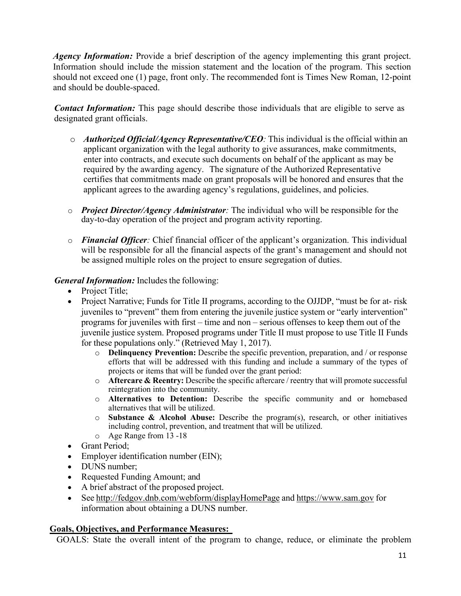*Agency Information:* Provide a brief description of the agency implementing this grant project. Information should include the mission statement and the location of the program. This section should not exceed one (1) page, front only. The recommended font is Times New Roman, 12-point and should be double-spaced.

*Contact Information:* This page should describe those individuals that are eligible to serve as designated grant officials.

- o *Authorized Official/Agency Representative/CEO:* This individual is the official within an applicant organization with the legal authority to give assurances, make commitments, enter into contracts, and execute such documents on behalf of the applicant as may be required by the awarding agency. The signature of the Authorized Representative certifies that commitments made on grant proposals will be honored and ensures that the applicant agrees to the awarding agency's regulations, guidelines, and policies.
- o *Project Director/Agency Administrator:* The individual who will be responsible for the day-to-day operation of the project and program activity reporting.
- o *Financial Officer:* Chief financial officer of the applicant's organization. This individual will be responsible for all the financial aspects of the grant's management and should not be assigned multiple roles on the project to ensure segregation of duties.

## *General Information:* Includes the following:

- Project Title;
- Project Narrative; Funds for Title II programs, according to the OJJDP, "must be for at- risk juveniles to "prevent" them from entering the juvenile justice system or "early intervention" programs for juveniles with first – time and non – serious offenses to keep them out of the juvenile justice system. Proposed programs under Title II must propose to use Title II Funds for these populations only." (Retrieved May 1, 2017).
	- o **Delinquency Prevention:** Describe the specific prevention, preparation, and / or response efforts that will be addressed with this funding and include a summary of the types of projects or items that will be funded over the grant period:
	- o **Aftercare & Reentry:** Describe the specific aftercare / reentry that will promote successful reintegration into the community.
	- o **Alternatives to Detention:** Describe the specific community and or homebased alternatives that will be utilized.
	- o **Substance & Alcohol Abuse:** Describe the program(s), research, or other initiatives including control, prevention, and treatment that will be utilized.
	- o Age Range from 13 -18
- Grant Period;
- Employer identification number (EIN);
- DUNS number:
- Requested Funding Amount; and
- A brief abstract of the proposed project.
- See <http://fedgov.dnb.com/webform/displayHomePage> and [https://www.sam.gov](https://www.sam.gov/) for information about obtaining a DUNS number.

## <span id="page-10-0"></span>**Goals, Objectives, and Performance Measures:**

GOALS: State the overall intent of the program to change, reduce, or eliminate the problem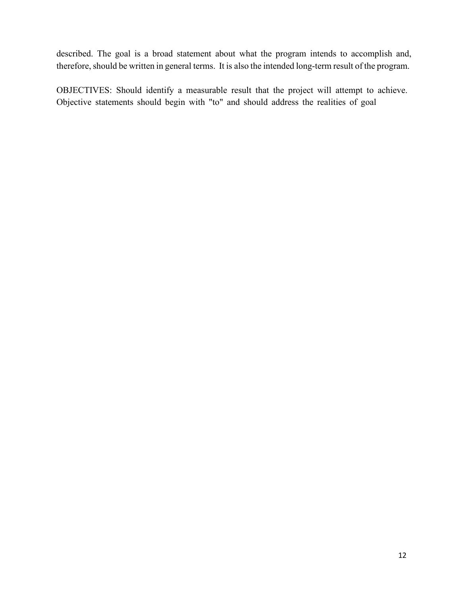described. The goal is a broad statement about what the program intends to accomplish and, therefore, should be written in general terms. It is also the intended long-term result of the program.

OBJECTIVES: Should identify a measurable result that the project will attempt to achieve. Objective statements should begin with "to" and should address the realities of goal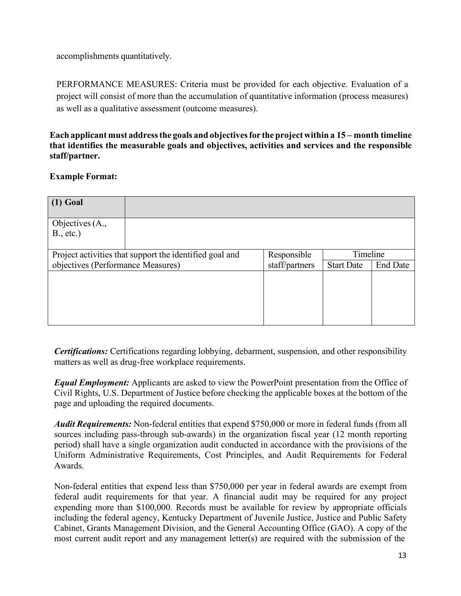accomplishments quantitatively.

PERFORMANCE MEASURES: Criteria must be provided for each objective. Evaluation of a project will consist of more than the accumulation of quantitative information (process measures) as well as a qualitative assessment (outcome measures).

**Each applicant must addressthe goals and objectivesfor the project within a 15 – month timeline that identifies the measurable goals and objectives, activities and services and the responsible staff/partner.**

## **Example Format:**

| $(1)$ Goal                                              |  |                |                   |                 |
|---------------------------------------------------------|--|----------------|-------------------|-----------------|
| Objectives (A.,<br>B., etc.)                            |  |                |                   |                 |
| Project activities that support the identified goal and |  | Responsible    | Timeline          |                 |
| objectives (Performance Measures)                       |  | staff/partners | <b>Start Date</b> | <b>End Date</b> |
|                                                         |  |                |                   |                 |

*Certifications:* Certifications regarding lobbying, debarment, suspension, and other responsibility matters as well as drug-free workplace requirements.

*Equal Employment:* Applicants are asked to view the PowerPoint presentation from the Office of Civil Rights, U.S. Department of Justice before checking the applicable boxes at the bottom of the page and uploading the required documents.

*Audit Requirements:* Non-federal entities that expend \$750,000 or more in federal funds (from all sources including pass-through sub-awards) in the organization fiscal year (12 month reporting period) shall have a single organization audit conducted in accordance with the provisions of the Uniform Administrative Requirements, Cost Principles, and Audit Requirements for Federal Awards.

Non-federal entities that expend less than \$750,000 per year in federal awards are exempt from federal audit requirements for that year. A financial audit may be required for any project expending more than \$100,000. Records must be available for review by appropriate officials including the federal agency, Kentucky Department of Juvenile Justice, Justice and Public Safety Cabinet, Grants Management Division, and the General Accounting Office (GAO). A copy of the most current audit report and any management letter(s) are required with the submission of the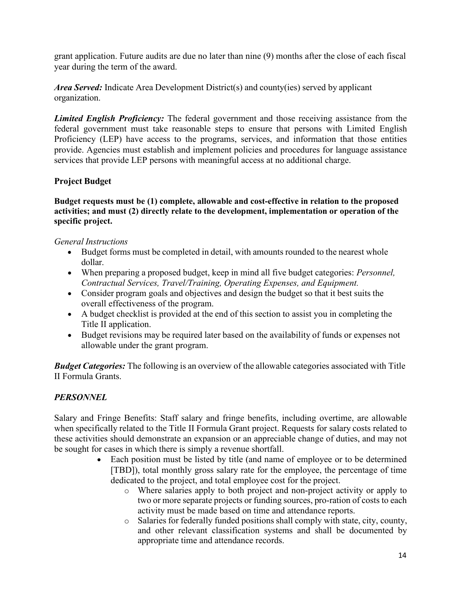grant application. Future audits are due no later than nine (9) months after the close of each fiscal year during the term of the award.

*Area Served:* Indicate Area Development District(s) and county(ies) served by applicant organization.

*Limited English Proficiency:* The federal government and those receiving assistance from the federal government must take reasonable steps to ensure that persons with Limited English Proficiency (LEP) have access to the programs, services, and information that those entities provide. Agencies must establish and implement policies and procedures for language assistance services that provide LEP persons with meaningful access at no additional charge.

# **Project Budget**

**Budget requests must be (1) complete, allowable and cost-effective in relation to the proposed activities; and must (2) directly relate to the development, implementation or operation of the specific project.**

## *General Instructions*

- Budget forms must be completed in detail, with amounts rounded to the nearest whole dollar.
- When preparing a proposed budget, keep in mind all five budget categories: *Personnel, Contractual Services, Travel/Training, Operating Expenses, and Equipment.*
- Consider program goals and objectives and design the budget so that it best suits the overall effectiveness of the program.
- A budget checklist is provided at the end of this section to assist you in completing the Title II application.
- Budget revisions may be required later based on the availability of funds or expenses not allowable under the grant program.

*Budget Categories:* The following is an overview of the allowable categories associated with Title II Formula Grants.

## <span id="page-13-0"></span>*PERSONNEL*

Salary and Fringe Benefits: Staff salary and fringe benefits, including overtime, are allowable when specifically related to the Title II Formula Grant project. Requests for salary costs related to these activities should demonstrate an expansion or an appreciable change of duties, and may not be sought for cases in which there is simply a revenue shortfall.

- Each position must be listed by title (and name of employee or to be determined [TBD]), total monthly gross salary rate for the employee, the percentage of time dedicated to the project, and total employee cost for the project.
	- o Where salaries apply to both project and non-project activity or apply to two or more separate projects or funding sources, pro-ration of costs to each activity must be made based on time and attendance reports.
	- o Salaries for federally funded positions shall comply with state, city, county, and other relevant classification systems and shall be documented by appropriate time and attendance records.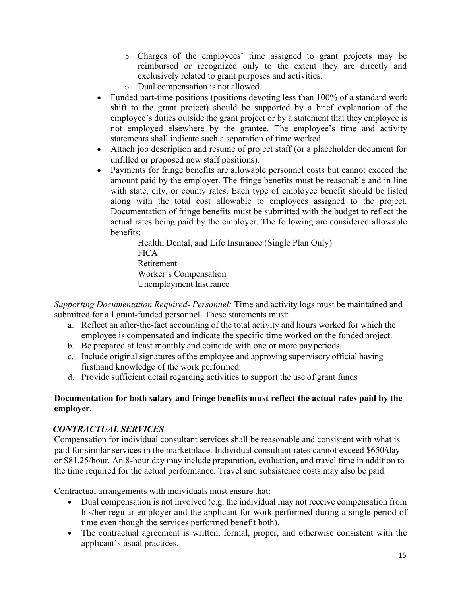- o Charges of the employees' time assigned to grant projects may be reimbursed or recognized only to the extent they are directly and exclusively related to grant purposes and activities.
- o Dual compensation is not allowed.
- Funded part-time positions (positions devoting less than 100% of a standard work shift to the grant project) should be supported by a brief explanation of the employee's duties outside the grant project or by a statement that they employee is not employed elsewhere by the grantee. The employee's time and activity statements shall indicate such a separation of time worked.
- Attach job description and resume of project staff (or a placeholder document for unfilled or proposed new staff positions).
- Payments for fringe benefits are allowable personnel costs but cannot exceed the amount paid by the employer. The fringe benefits must be reasonable and in line with state, city, or county rates. Each type of employee benefit should be listed along with the total cost allowable to employees assigned to the project. Documentation of fringe benefits must be submitted with the budget to reflect the actual rates being paid by the employer. The following are considered allowable benefits:

Health, Dental, and Life Insurance (Single Plan Only) **FICA** Retirement Worker's Compensation Unemployment Insurance

*Supporting Documentation Required- Personnel:* Time and activity logs must be maintained and submitted for all grant-funded personnel. These statements must:

- a. Reflect an after-the-fact accounting of the total activity and hours worked for which the employee is compensated and indicate the specific time worked on the funded project.
- b. Be prepared at least monthly and coincide with one or more pay periods.
- c. Include original signatures of the employee and approving supervisory official having firsthand knowledge of the work performed.
- d. Provide sufficient detail regarding activities to support the use of grant funds

## **Documentation for both salary and fringe benefits must reflect the actual rates paid by the employer.**

# <span id="page-14-0"></span>*CONTRACTUAL SERVICES*

Compensation for individual consultant services shall be reasonable and consistent with what is paid for similar services in the marketplace. Individual consultant rates cannot exceed \$650/day or \$81.25/hour. An 8-hour day may include preparation, evaluation, and travel time in addition to the time required for the actual performance. Travel and subsistence costs may also be paid.

Contractual arrangements with individuals must ensure that:

- Dual compensation is not involved (e.g. the individual may not receive compensation from his/her regular employer and the applicant for work performed during a single period of time even though the services performed benefit both).
- The contractual agreement is written, formal, proper, and otherwise consistent with the applicant's usual practices.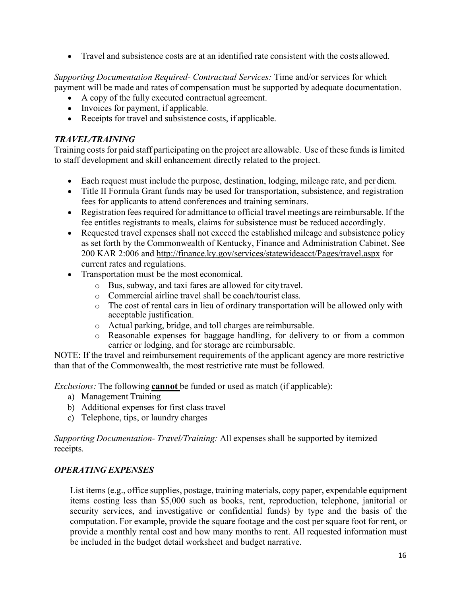• Travel and subsistence costs are at an identified rate consistent with the costs allowed.

*Supporting Documentation Required- Contractual Services:* Time and/or services for which payment will be made and rates of compensation must be supported by adequate documentation.

- A copy of the fully executed contractual agreement.
- Invoices for payment, if applicable.
- Receipts for travel and subsistence costs, if applicable.

## <span id="page-15-0"></span>*TRAVEL/TRAINING*

Training costs for paid staff participating on the project are allowable. Use of these funds is limited to staff development and skill enhancement directly related to the project.

- Each request must include the purpose, destination, lodging, mileage rate, and per diem.
- Title II Formula Grant funds may be used for transportation, subsistence, and registration fees for applicants to attend conferences and training seminars.
- Registration fees required for admittance to official travel meetings are reimbursable. If the fee entitles registrants to meals, claims for subsistence must be reduced accordingly.
- Requested travel expenses shall not exceed the established mileage and subsistence policy as set forth by the Commonwealth of Kentucky, Finance and Administration Cabinet. See 200 KAR 2:006 and<http://finance.ky.gov/services/statewideacct/Pages/travel.aspx> for current rates and regulations.
- Transportation must be the most economical.
	- o Bus, subway, and taxi fares are allowed for city travel.
	- o Commercial airline travel shall be coach/tourist class.
	- o The cost of rental cars in lieu of ordinary transportation will be allowed only with acceptable justification.
	- o Actual parking, bridge, and toll charges are reimbursable.
	- o Reasonable expenses for baggage handling, for delivery to or from a common carrier or lodging, and for storage are reimbursable.

NOTE: If the travel and reimbursement requirements of the applicant agency are more restrictive than that of the Commonwealth, the most restrictive rate must be followed.

*Exclusions:* The following **cannot** be funded or used as match (if applicable):

- a) Management Training
- b) Additional expenses for first class travel
- c) Telephone, tips, or laundry charges

*Supporting Documentation- Travel/Training:* All expenses shall be supported by itemized receipts.

## <span id="page-15-1"></span>*OPERATING EXPENSES*

List items (e.g., office supplies, postage, training materials, copy paper, expendable equipment items costing less than \$5,000 such as books, rent, reproduction, telephone, janitorial or security services, and investigative or confidential funds) by type and the basis of the computation. For example, provide the square footage and the cost per square foot for rent, or provide a monthly rental cost and how many months to rent. All requested information must be included in the budget detail worksheet and budget narrative.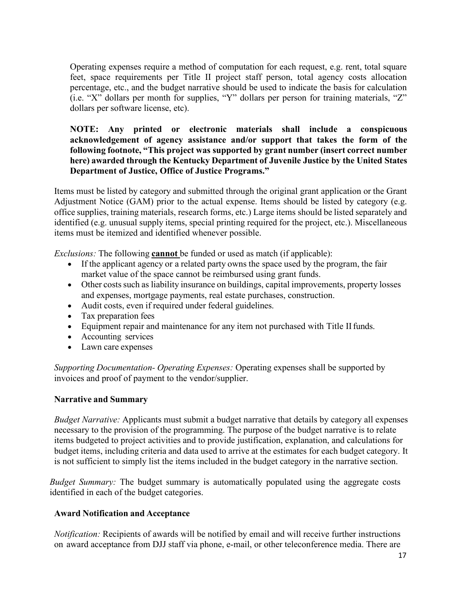Operating expenses require a method of computation for each request, e.g. rent, total square feet, space requirements per Title II project staff person, total agency costs allocation percentage, etc., and the budget narrative should be used to indicate the basis for calculation (i.e. "X" dollars per month for supplies, "Y" dollars per person for training materials, "Z" dollars per software license, etc).

## **NOTE: Any printed or electronic materials shall include a conspicuous acknowledgement of agency assistance and/or support that takes the form of the following footnote, "This project was supported by grant number (insert correct number here) awarded through the Kentucky Department of Juvenile Justice by the United States Department of Justice, Office of Justice Programs."**

Items must be listed by category and submitted through the original grant application or the Grant Adjustment Notice (GAM) prior to the actual expense. Items should be listed by category (e.g. office supplies, training materials, research forms, etc.) Large items should be listed separately and identified (e.g. unusual supply items, special printing required for the project, etc.). Miscellaneous items must be itemized and identified whenever possible.

*Exclusions:* The following **cannot** be funded or used as match (if applicable):

- If the applicant agency or a related party owns the space used by the program, the fair market value of the space cannot be reimbursed using grant funds.
- Other costs such as liability insurance on buildings, capital improvements, property losses and expenses, mortgage payments, real estate purchases, construction.
- Audit costs, even if required under federal guidelines.
- Tax preparation fees
- Equipment repair and maintenance for any item not purchased with Title II funds.
- Accounting services
- Lawn care expenses

*Supporting Documentation- Operating Expenses:* Operating expenses shall be supported by invoices and proof of payment to the vendor/supplier.

#### <span id="page-16-0"></span>**Narrative and Summary**

*Budget Narrative:* Applicants must submit a budget narrative that details by category all expenses necessary to the provision of the programming. The purpose of the budget narrative is to relate items budgeted to project activities and to provide justification, explanation, and calculations for budget items, including criteria and data used to arrive at the estimates for each budget category. It is not sufficient to simply list the items included in the budget category in the narrative section.

*Budget Summary:* The budget summary is automatically populated using the aggregate costs identified in each of the budget categories.

## <span id="page-16-1"></span>**Award Notification and Acceptance**

*Notification:* Recipients of awards will be notified by email and will receive further instructions on award acceptance from DJJ staff via phone, e-mail, or other teleconference media. There are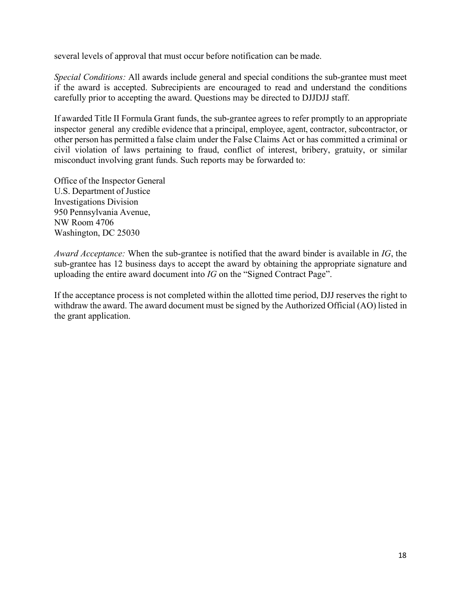several levels of approval that must occur before notification can be made.

*Special Conditions:* All awards include general and special conditions the sub-grantee must meet if the award is accepted. Subrecipients are encouraged to read and understand the conditions carefully prior to accepting the award. Questions may be directed to DJJDJJ staff.

If awarded Title II Formula Grant funds, the sub-grantee agrees to refer promptly to an appropriate inspector general any credible evidence that a principal, employee, agent, contractor, subcontractor, or other person has permitted a false claim under the False Claims Act or has committed a criminal or civil violation of laws pertaining to fraud, conflict of interest, bribery, gratuity, or similar misconduct involving grant funds. Such reports may be forwarded to:

Office of the Inspector General U.S. Department of Justice Investigations Division 950 Pennsylvania Avenue, NW Room 4706 Washington, DC 25030

*Award Acceptance:* When the sub-grantee is notified that the award binder is available in *IG*, the sub-grantee has 12 business days to accept the award by obtaining the appropriate signature and uploading the entire award document into *IG* on the "Signed Contract Page".

If the acceptance process is not completed within the allotted time period, DJJ reserves the right to withdraw the award. The award document must be signed by the Authorized Official (AO) listed in the grant application.